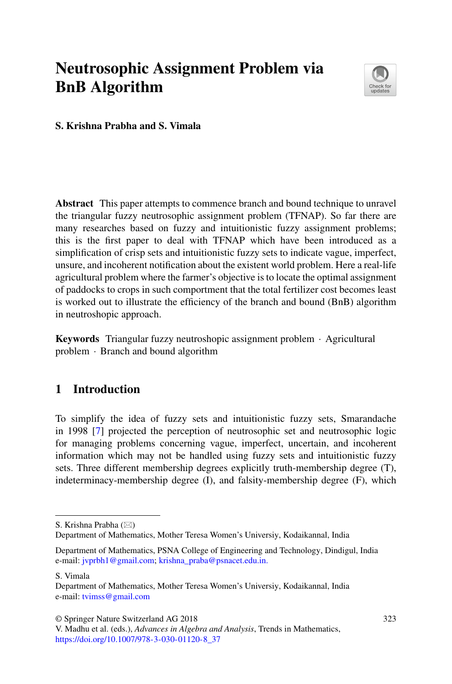# **Neutrosophic Assignment Problem via BnB Algorithm**



**S. Krishna Prabha and S. Vimala**

**Abstract** This paper attempts to commence branch and bound technique to unravel the triangular fuzzy neutrosophic assignment problem (TFNAP). So far there are many researches based on fuzzy and intuitionistic fuzzy assignment problems; this is the first paper to deal with TFNAP which have been introduced as a simplification of crisp sets and intuitionistic fuzzy sets to indicate vague, imperfect, unsure, and incoherent notification about the existent world problem. Here a real-life agricultural problem where the farmer's objective is to locate the optimal assignment of paddocks to crops in such comportment that the total fertilizer cost becomes least is worked out to illustrate the efficiency of the branch and bound (BnB) algorithm in neutroshopic approach.

**Keywords** Triangular fuzzy neutroshopic assignment problem · Agricultural problem · Branch and bound algorithm

# **1 Introduction**

To simplify the idea of fuzzy sets and intuitionistic fuzzy sets, Smarandache in 1998 [\[7\]](#page-7-0) projected the perception of neutrosophic set and neutrosophic logic for managing problems concerning vague, imperfect, uncertain, and incoherent information which may not be handled using fuzzy sets and intuitionistic fuzzy sets. Three different membership degrees explicitly truth-membership degree (T), indeterminacy-membership degree (I), and falsity-membership degree (F), which

S. Vimala

© Springer Nature Switzerland AG 2018

S. Krishna Prabha ( $\boxtimes$ )

Department of Mathematics, Mother Teresa Women's Universiy, Kodaikannal, India

Department of Mathematics, PSNA College of Engineering and Technology, Dindigul, India e-mail: [jvprbh1@gmail.com;](mailto:jvprbh1@gmail.com) [krishna\\_praba@psnacet.edu.in.](mailto:krishna_praba@psnacet.edu.in.)

Department of Mathematics, Mother Teresa Women's Universiy, Kodaikannal, India e-mail: [tvimss@gmail.com](mailto:tvimss@gmail.com)

V. Madhu et al. (eds.), *Advances in Algebra and Analysis*, Trends in Mathematics, [https://doi.org/10.1007/978-3-030-01120-8\\_37](https://doi.org/10.1007/978-3-030-01120-8_37)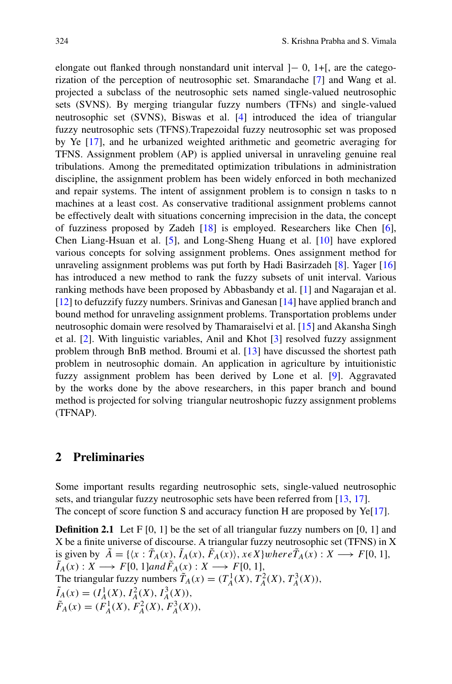elongate out flanked through nonstandard unit interval ]− 0, 1+[, are the categorization of the perception of neutrosophic set. Smarandache [\[7\]](#page-7-0) and Wang et al. projected a subclass of the neutrosophic sets named single-valued neutrosophic sets (SVNS). By merging triangular fuzzy numbers (TFNs) and single-valued neutrosophic set (SVNS), Biswas et al. [\[4\]](#page-7-1) introduced the idea of triangular fuzzy neutrosophic sets (TFNS).Trapezoidal fuzzy neutrosophic set was proposed by Ye [\[17\]](#page-7-2), and he urbanized weighted arithmetic and geometric averaging for TFNS. Assignment problem (AP) is applied universal in unraveling genuine real tribulations. Among the premeditated optimization tribulations in administration discipline, the assignment problem has been widely enforced in both mechanized and repair systems. The intent of assignment problem is to consign n tasks to n machines at a least cost. As conservative traditional assignment problems cannot be effectively dealt with situations concerning imprecision in the data, the concept of fuzziness proposed by Zadeh [\[18\]](#page-7-3) is employed. Researchers like Chen [\[6\]](#page-7-4), Chen Liang-Hsuan et al. [\[5\]](#page-7-5), and Long-Sheng Huang et al. [\[10\]](#page-7-6) have explored various concepts for solving assignment problems. Ones assignment method for unraveling assignment problems was put forth by Hadi Basirzadeh [\[8\]](#page-7-7). Yager [\[16\]](#page-7-8) has introduced a new method to rank the fuzzy subsets of unit interval. Various ranking methods have been proposed by Abbasbandy et al. [\[1\]](#page-6-0) and Nagarajan et al. [\[12\]](#page-7-9) to defuzzify fuzzy numbers. Srinivas and Ganesan [\[14\]](#page-7-10) have applied branch and bound method for unraveling assignment problems. Transportation problems under neutrosophic domain were resolved by Thamaraiselvi et al. [\[15\]](#page-7-11) and Akansha Singh et al. [\[2\]](#page-6-1). With linguistic variables, Anil and Khot [\[3\]](#page-6-2) resolved fuzzy assignment problem through BnB method. Broumi et al. [\[13\]](#page-7-12) have discussed the shortest path problem in neutrosophic domain. An application in agriculture by intuitionistic fuzzy assignment problem has been derived by Lone et al. [\[9\]](#page-7-13). Aggravated by the works done by the above researchers, in this paper branch and bound method is projected for solving triangular neutroshopic fuzzy assignment problems (TFNAP).

#### **2 Preliminaries**

Some important results regarding neutrosophic sets, single-valued neutrosophic sets, and triangular fuzzy neutrosophic sets have been referred from [\[13,](#page-7-12) [17\]](#page-7-2). The concept of score function S and accuracy function H are proposed by  $Ye[17]$  $Ye[17]$ .

**Definition 2.1** Let  $F[0, 1]$  be the set of all triangular fuzzy numbers on  $[0, 1]$  and X be a finite universe of discourse. A triangular fuzzy neutrosophic set (TFNS) in X is given by  $A = \{(x : T_A(x), I_A(x), F_A(x)\}, x \in X\}$ where $T_A(x) : X \longrightarrow F[0, 1],$ <br> $\tilde{I}_A(x) : X \longrightarrow F[0, 1]$ and $\tilde{F}_A(x) : X \longrightarrow F[0, 1]$ ,  $\tilde{I}_A(x) : X \longrightarrow F[0, 1]$ and $\tilde{F}_A(x) : X \longrightarrow F[0, 1],$ The triangular fuzzy numbers  $\tilde{T}_A(x) = (T_A^1(X), T_A^2(X), T_A^3(X)),$  $\tilde{I}_A(x) = (I_A^1(X), I_A^2(X), I_A^3(X)),$  $\tilde{F}_A(x) = (F_A^1(X), F_A^2(X), F_A^3(X)),$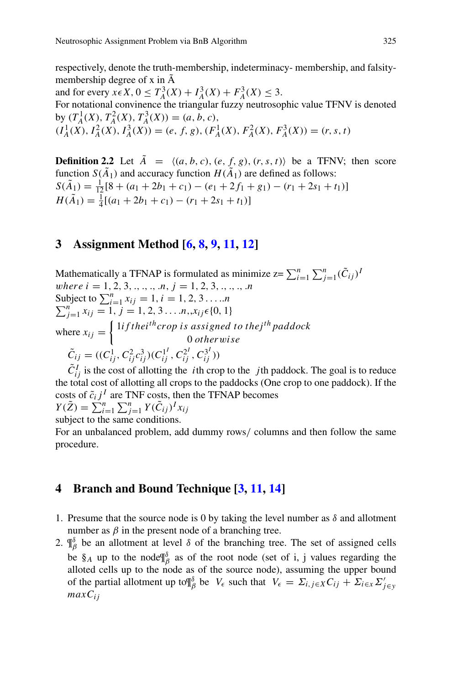respectively, denote the truth-membership, indeterminacy- membership, and falsitymembership degree of x in Ã

and for every  $x \in X$ ,  $0 \leq T_A^3(X) + T_A^3(X) + T_A^3(X) \leq 3$ . For notational convinence the triangular fuzzy neutrosophic value TFNV is denoted by  $(T_A^1(X), T_A^2(X), T_A^3(X)) = (a, b, c),$  $(I_A^1(X), I_A^2(X), I_A^3(X)) = (e, f, g), (F_A^1(X), F_A^2(X), F_A^3(X)) = (r, s, t)$ 

**Definition 2.2** Let  $A = \langle (a, b, c), (e, f, g), (r, s, t) \rangle$  be a TFNV; then score function  $S(\tilde{A}_1)$  and accuracy function  $H(\tilde{A}_1)$  are defined as follows:  $S(\tilde{A}_1) = \frac{1}{12} [8 + (a_1 + 2b_1 + c_1) - (e_1 + 2f_1 + g_1) - (r_1 + 2s_1 + t_1)]$  $H(\tilde{A}_1) = \frac{1}{4}[(a_1 + 2b_1 + c_1) - (r_1 + 2s_1 + t_1)]$ 

## **3 Assignment Method [\[6,](#page-7-4) [8,](#page-7-7) [9,](#page-7-13) [11,](#page-7-14) [12\]](#page-7-9)**

Mathematically a TFNAP is formulated as minimize  $z = \sum_{i=1}^{n} \sum_{j=1}^{n} (\tilde{C}_{ij})^T$ where  $i = 1, 2, 3, ..., n, j = 1, 2, 3, ..., n$ Subject to  $\sum_{i=1}^{n}$ Subject to  $\sum_{i=1}^{n} x_{ij} = 1, i = 1, 2, 3... \dots n$ <br>  $\sum_{i=1}^{n} x_{ij} = 1, j = 1, 2, 3... \dots n, x_{ij} \in \{0, 1\}$  $j=1, j=1, 2, 3 \ldots n, x_{ij} \in \{0, 1\}$ where  $x_{ij} = \begin{cases} 1if the i^{th} crop \ is \ assigned \ to \ the j^{th} \ pad \ dock \ 0 \ otherwise \end{cases}$ 0 otherwise  $\tilde{C}_{ij} = ((C_{ij}^1, C_{ij}^2 c_{ij}^3)(C_{ij}^{1'} , C_{ij}^{2'} , C_{ij}^{3'}))$ 

 $\tilde{C}_{ij}^I$  is the cost of allotting the *i*th crop to the *j*th paddock. The goal is to reduce the total cost of allotting all crops to the paddocks (One crop to one paddock). If the costs of  $\tilde{c}_i j^I$  are TNF costs, then the TFNAP becomes

 $Y(\tilde{Z}) = \sum_{i=1}^{n} \sum_{j=1}^{n} Y(\tilde{C}_{ij})^{I} x_{ij}$ subject to the same conditions.

For an unbalanced problem, add dummy rows/ columns and then follow the same procedure.

# **4 Branch and Bound Technique [\[3,](#page-6-2) [11,](#page-7-14) [14\]](#page-7-10)**

- 1. Presume that the source node is 0 by taking the level number as  $\delta$  and allotment number as  $\beta$  in the present node of a branching tree.
- 2.  $\P^{\delta}_{\beta}$  be an allotment at level  $\delta$  of the branching tree. The set of assigned cells be  $\S_A$  up to the node  $\P_{\beta}^{\delta}$  as of the root node (set of i, j values regarding the alloted cells up to the node as of the source node), assuming the upper bound of the partial allotment up to  $\P^{\delta}_{\beta}$  be  $V_{\epsilon}$  such that  $V_{\epsilon} = \Sigma_{i,j \in X} C_{ij} + \Sigma_{i \in X} \Sigma'_{j \in Y}$  $maxC_{ij}$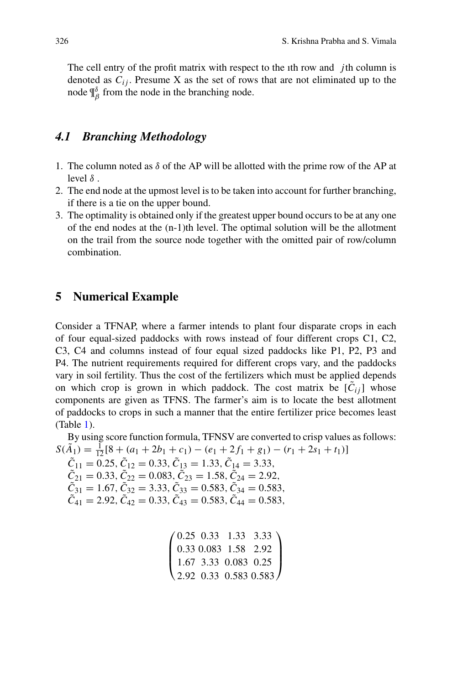The cell entry of the profit matrix with respect to the 1th row and  $\dot{j}$ th column is denoted as  $C_{ij}$ . Presume X as the set of rows that are not eliminated up to the node  $\P^{\delta}_{\beta}$  from the node in the branching node.

#### *4.1 Branching Methodology*

- 1. The column noted as  $\delta$  of the AP will be allotted with the prime row of the AP at level  $\delta$ .
- 2. The end node at the upmost level is to be taken into account for further branching, if there is a tie on the upper bound.
- 3. The optimality is obtained only if the greatest upper bound occurs to be at any one of the end nodes at the (n-1)th level. The optimal solution will be the allotment on the trail from the source node together with the omitted pair of row/column combination.

#### **5 Numerical Example**

Consider a TFNAP, where a farmer intends to plant four disparate crops in each of four equal-sized paddocks with rows instead of four different crops C1, C2, C3, C4 and columns instead of four equal sized paddocks like P1, P2, P3 and P4. The nutrient requirements required for different crops vary, and the paddocks vary in soil fertility. Thus the cost of the fertilizers which must be applied depends on which crop is grown in which paddock. The cost matrix be  $[C_{ij}]$  whose components are given as TFNS. The farmer's aim is to locate the best allotment of paddocks to crops in such a manner that the entire fertilizer price becomes least (Table [1\)](#page-4-0).

By using score function formula, TFNSV are converted to crisp values as follows:  $S(\tilde{A}_1) = \frac{1}{12} [8 + (a_1 + 2b_1 + c_1) - (e_1 + 2f_1 + g_1) - (r_1 + 2s_1 + t_1)]$  $C_{11} = 0.25, C_{12} = 0.33, C_{13} = 1.33, C_{14} = 3.33,$  $C_{21} = 0.33, C_{22} = 0.083, C_{23} = 1.58, C_{24} = 2.92,$  $C_{31} = 1.67, C_{32} = 3.33, C_{33} = 0.583, C_{34} = 0.583,$  $\tilde{C}_{41} = 2.92, \tilde{C}_{42} = 0.33, \tilde{C}_{43} = 0.583, \tilde{C}_{44} = 0.583,$ 

```
\sqrt{2}\vert0.25 0.33 1.33 3.33
  0.33 0.083 1.58 2.92
  1.67 3.33 0.083 0.25
  2.92 0.33 0.583 0.583
                             \setminus\sqrt{ }
```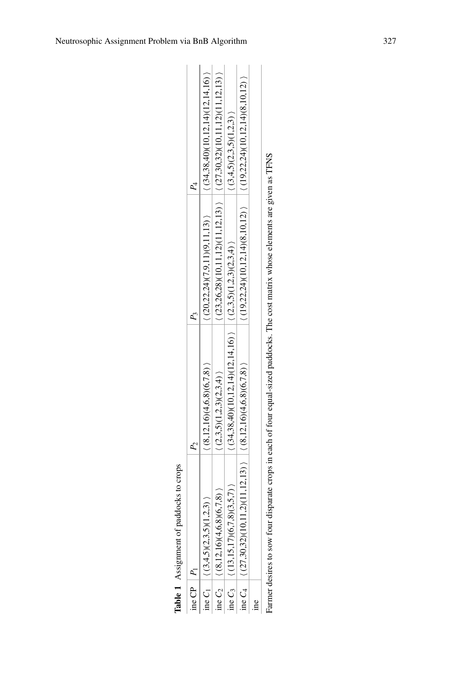|                | Table 1 Assignment of paddocks to crops   |                                                          |                               |                                                                   |
|----------------|-------------------------------------------|----------------------------------------------------------|-------------------------------|-------------------------------------------------------------------|
| ine CP $ P_1 $ |                                           |                                                          |                               |                                                                   |
|                | (5.2, 3)<br>ine $C_1$ $(3,4,5)(2,3,5)(1)$ | (8,12,16)(4,6,8)(6,7,8)                                  | (20,22,24)(7,9,11)(9,11,13)   | (34,38,40)(10,12,14)(12,14,16)                                    |
|                | ine $C_2$ $(8,12,16)(4,6,8)(6,7,8)$       | (2,3,5)(1,2,3)(2,3,4)                                    |                               | $(23,26,28)(10,11,12)(11,12,13)$ $(27,30,32)(10,11,12)(11,12,13)$ |
|                | (3,5,7)<br>ine $C_3$ (13,15,17)(6,7       | $(34,38,40)(10,12,14)(12,14,16)$ $(2,3,5)(1,2,3)(2,3,4)$ |                               | (3,4,5)(2,3,5)(1,2,3)                                             |
|                | ine $C_4$ $(27,30,32)(10,$                | $(11,2)(11,12,13)$ $(8,12,16)(4,6,8)(6,7,8)$             | (19,22,24)(10,12,14)(8,10,12) | (19,22,24)(10,12,14)(8,10,12)                                     |
| ine            |                                           |                                                          |                               |                                                                   |
|                |                                           |                                                          |                               |                                                                   |

<span id="page-4-0"></span>Farmer desires to sow four disparate crops in each of four equal-sized paddocks. The cost matrix whose elements are given as TFNS Farmer desires to sow four disparate crops in each of four equal-sized paddocks. The cost matrix whose elements are given as TFNS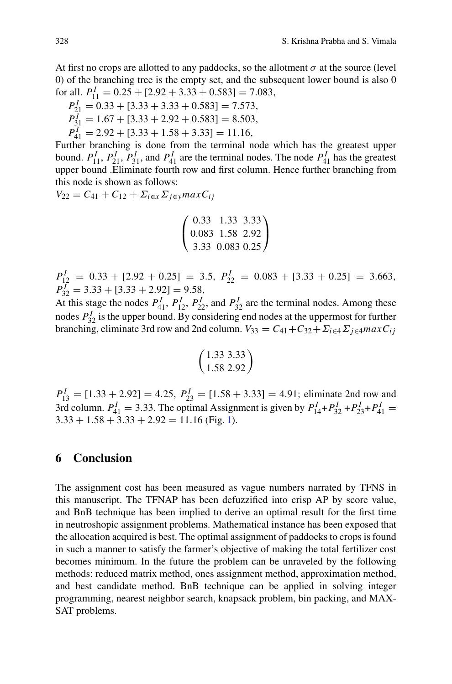At first no crops are allotted to any paddocks, so the allotment  $\sigma$  at the source (level 0) of the branching tree is the empty set, and the subsequent lower bound is also 0 for all.  $P_{11}^I = 0.25 + [2.92 + 3.33 + 0.583] = 7.083$ ,

$$
P_{21}^I = 0.33 + [3.33 + 3.33 + 0.583] = 7.573,
$$
  
\n
$$
P_{31}^I = 1.67 + [3.33 + 2.92 + 0.583] = 8.503,
$$

 $P_{41}^I = 2.92 + [3.33 + 1.58 + 3.33] = 11.16,$ 

Further branching is done from the terminal node which has the greatest upper bound.  $P_{11}^I$ ,  $P_{21}^I$ ,  $P_{31}^I$ , and  $P_{41}^I$  are the terminal nodes. The node  $P_{41}^I$  has the greatest upper bound .Eliminate fourth row and first column. Hence further branching from this node is shown as follows:

$$
V_{22}=C_{41}+C_{12}+\Sigma_{i\in\mathcal{X}}\Sigma_{j\in\mathcal{Y}}\text{max}\,C_{ij}
$$

$$
\left(\n\begin{array}{ccc}\n0.33 & 1.33 & 3.33 \\
0.083 & 1.58 & 2.92 \\
3.33 & 0.083 & 0.25\n\end{array}\n\right)
$$

 $P_{12}^I = 0.33 + [2.92 + 0.25] = 3.5, P_{22}^I = 0.083 + [3.33 + 0.25] = 3.663,$  $P_{32}^{\{I\}} = 3.33 + [3.33 + 2.92] = 9.58,$ 

At this stage the nodes  $P_{41}^I$ ,  $P_{12}^I$ ,  $P_{22}^I$ , and  $P_{32}^I$  are the terminal nodes. Among these nodes  $P_{32}^I$  is the upper bound. By considering end nodes at the uppermost for further branching, eliminate 3rd row and 2nd column.  $V_{33} = C_{41} + C_{32} + \Sigma_{i \in 4} \Sigma_{j \in 4} max C_{ij}$ 

$$
\left(\frac{1.33\;3.33}{1.58\;2.92}\right)
$$

 $P_{13}^I = [1.33 + 2.92] = 4.25$ ,  $P_{23}^I = [1.58 + 3.33] = 4.91$ ; eliminate 2nd row and 3rd column.  $P_{41}^I = 3.33$ . The optimal Assignment is given by  $P_{14}^I + P_{32}^I + P_{23}^I + P_{41}^I =$  $3.33 + 1.58 + 3.33 + 2.92 = 11.16$  (Fig. [1\)](#page-6-3).

#### **6 Conclusion**

The assignment cost has been measured as vague numbers narrated by TFNS in this manuscript. The TFNAP has been defuzzified into crisp AP by score value, and BnB technique has been implied to derive an optimal result for the first time in neutroshopic assignment problems. Mathematical instance has been exposed that the allocation acquired is best. The optimal assignment of paddocks to crops is found in such a manner to satisfy the farmer's objective of making the total fertilizer cost becomes minimum. In the future the problem can be unraveled by the following methods: reduced matrix method, ones assignment method, approximation method, and best candidate method. BnB technique can be applied in solving integer programming, nearest neighbor search, knapsack problem, bin packing, and MAX-SAT problems.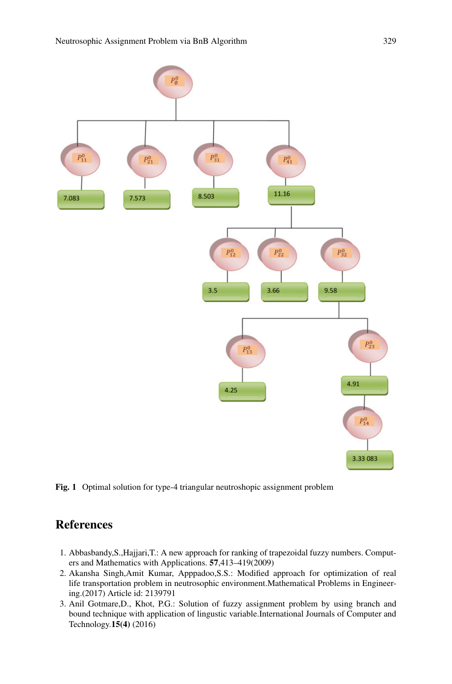

<span id="page-6-3"></span>**Fig. 1** Optimal solution for type-4 triangular neutroshopic assignment problem

## **References**

- <span id="page-6-0"></span>1. Abbasbandy,S.,Hajjari,T.: A new approach for ranking of trapezoidal fuzzy numbers. Computers and Mathematics with Applications. **57**,413–419(2009)
- <span id="page-6-1"></span>2. Akansha Singh,Amit Kumar, Apppadoo,S.S.: Modified approach for optimization of real life transportation problem in neutrosophic environment.Mathematical Problems in Engineering.(2017) Article id: 2139791
- <span id="page-6-2"></span>3. Anil Gotmare,D., Khot, P.G.: Solution of fuzzy assignment problem by using branch and bound technique with application of lingustic variable.International Journals of Computer and Technology.**15(4)** (2016)